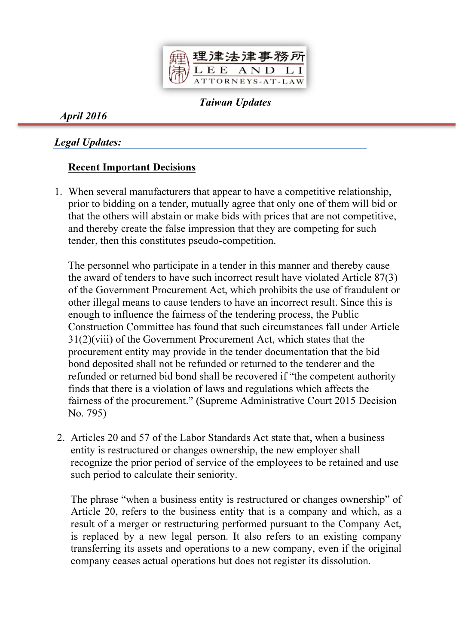

Taiwan Updates

April 2016

# Legal Updates:

# Recent Important Decisions

1. When several manufacturers that appear to have a competitive relationship, prior to bidding on a tender, mutually agree that only one of them will bid or that the others will abstain or make bids with prices that are not competitive, and thereby create the false impression that they are competing for such tender, then this constitutes pseudo-competition.

The personnel who participate in a tender in this manner and thereby cause the award of tenders to have such incorrect result have violated Article 87(3) of the Government Procurement Act, which prohibits the use of fraudulent or other illegal means to cause tenders to have an incorrect result. Since this is enough to influence the fairness of the tendering process, the Public Construction Committee has found that such circumstances fall under Article 31(2)(viii) of the Government Procurement Act, which states that the procurement entity may provide in the tender documentation that the bid bond deposited shall not be refunded or returned to the tenderer and the refunded or returned bid bond shall be recovered if "the competent authority finds that there is a violation of laws and regulations which affects the fairness of the procurement." (Supreme Administrative Court 2015 Decision No. 795)

2. Articles 20 and 57 of the Labor Standards Act state that, when a business entity is restructured or changes ownership, the new employer shall recognize the prior period of service of the employees to be retained and use such period to calculate their seniority.

The phrase "when a business entity is restructured or changes ownership" of Article 20, refers to the business entity that is a company and which, as a result of a merger or restructuring performed pursuant to the Company Act, is replaced by a new legal person. It also refers to an existing company transferring its assets and operations to a new company, even if the original company ceases actual operations but does not register its dissolution.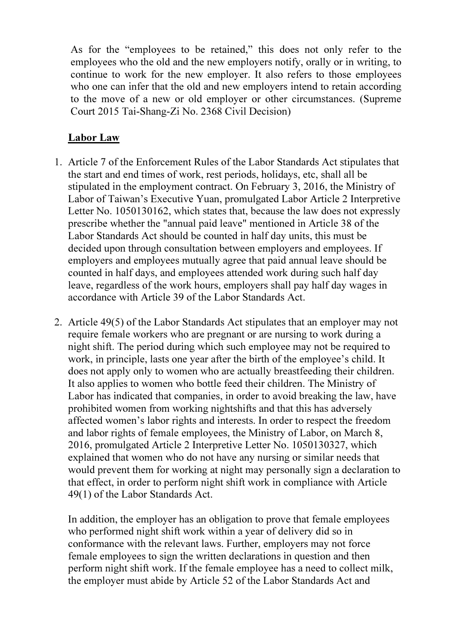As for the "employees to be retained," this does not only refer to the employees who the old and the new employers notify, orally or in writing, to continue to work for the new employer. It also refers to those employees who one can infer that the old and new employers intend to retain according to the move of a new or old employer or other circumstances. (Supreme Court 2015 Tai-Shang-Zi No. 2368 Civil Decision)

# Labor Law

- 1. Article 7 of the Enforcement Rules of the Labor Standards Act stipulates that the start and end times of work, rest periods, holidays, etc, shall all be stipulated in the employment contract. On February 3, 2016, the Ministry of Labor of Taiwan's Executive Yuan, promulgated Labor Article 2 Interpretive Letter No. 1050130162, which states that, because the law does not expressly prescribe whether the "annual paid leave" mentioned in Article 38 of the Labor Standards Act should be counted in half day units, this must be decided upon through consultation between employers and employees. If employers and employees mutually agree that paid annual leave should be counted in half days, and employees attended work during such half day leave, regardless of the work hours, employers shall pay half day wages in accordance with Article 39 of the Labor Standards Act.
- 2. Article 49(5) of the Labor Standards Act stipulates that an employer may not require female workers who are pregnant or are nursing to work during a night shift. The period during which such employee may not be required to work, in principle, lasts one year after the birth of the employee's child. It does not apply only to women who are actually breastfeeding their children. It also applies to women who bottle feed their children. The Ministry of Labor has indicated that companies, in order to avoid breaking the law, have prohibited women from working nightshifts and that this has adversely affected women's labor rights and interests. In order to respect the freedom and labor rights of female employees, the Ministry of Labor, on March 8, 2016, promulgated Article 2 Interpretive Letter No. 1050130327, which explained that women who do not have any nursing or similar needs that would prevent them for working at night may personally sign a declaration to that effect, in order to perform night shift work in compliance with Article 49(1) of the Labor Standards Act.

In addition, the employer has an obligation to prove that female employees who performed night shift work within a year of delivery did so in conformance with the relevant laws. Further, employers may not force female employees to sign the written declarations in question and then perform night shift work. If the female employee has a need to collect milk, the employer must abide by Article 52 of the Labor Standards Act and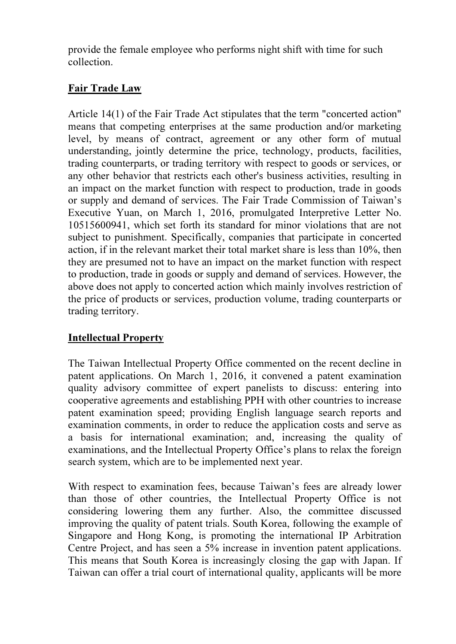provide the female employee who performs night shift with time for such collection.

### Fair Trade Law

Article 14(1) of the Fair Trade Act stipulates that the term "concerted action" means that competing enterprises at the same production and/or marketing level, by means of contract, agreement or any other form of mutual understanding, jointly determine the price, technology, products, facilities, trading counterparts, or trading territory with respect to goods or services, or any other behavior that restricts each other's business activities, resulting in an impact on the market function with respect to production, trade in goods or supply and demand of services. The Fair Trade Commission of Taiwan's Executive Yuan, on March 1, 2016, promulgated Interpretive Letter No. 10515600941, which set forth its standard for minor violations that are not subject to punishment. Specifically, companies that participate in concerted action, if in the relevant market their total market share is less than 10%, then they are presumed not to have an impact on the market function with respect to production, trade in goods or supply and demand of services. However, the above does not apply to concerted action which mainly involves restriction of the price of products or services, production volume, trading counterparts or trading territory.

# Intellectual Property

The Taiwan Intellectual Property Office commented on the recent decline in patent applications. On March 1, 2016, it convened a patent examination quality advisory committee of expert panelists to discuss: entering into cooperative agreements and establishing PPH with other countries to increase patent examination speed; providing English language search reports and examination comments, in order to reduce the application costs and serve as a basis for international examination; and, increasing the quality of examinations, and the Intellectual Property Office's plans to relax the foreign search system, which are to be implemented next year.

With respect to examination fees, because Taiwan's fees are already lower than those of other countries, the Intellectual Property Office is not considering lowering them any further. Also, the committee discussed improving the quality of patent trials. South Korea, following the example of Singapore and Hong Kong, is promoting the international IP Arbitration Centre Project, and has seen a 5% increase in invention patent applications. This means that South Korea is increasingly closing the gap with Japan. If Taiwan can offer a trial court of international quality, applicants will be more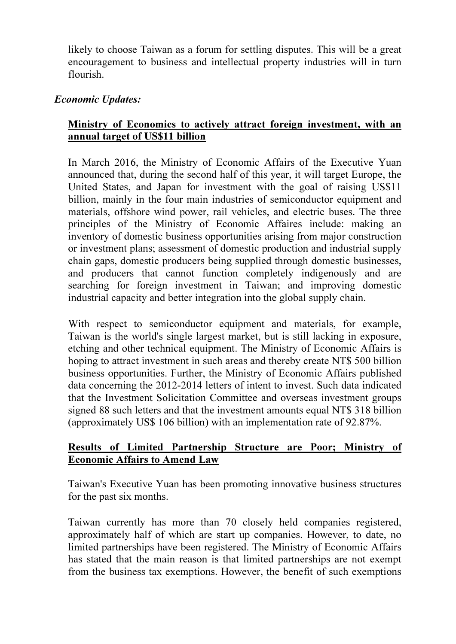likely to choose Taiwan as a forum for settling disputes. This will be a great encouragement to business and intellectual property industries will in turn flourish.

#### Economic Updates:

#### Ministry of Economics to actively attract foreign investment, with an annual target of US\$11 billion

In March 2016, the Ministry of Economic Affairs of the Executive Yuan announced that, during the second half of this year, it will target Europe, the United States, and Japan for investment with the goal of raising US\$11 billion, mainly in the four main industries of semiconductor equipment and materials, offshore wind power, rail vehicles, and electric buses. The three principles of the Ministry of Economic Affaires include: making an inventory of domestic business opportunities arising from major construction or investment plans; assessment of domestic production and industrial supply chain gaps, domestic producers being supplied through domestic businesses, and producers that cannot function completely indigenously and are searching for foreign investment in Taiwan; and improving domestic industrial capacity and better integration into the global supply chain.

With respect to semiconductor equipment and materials, for example, Taiwan is the world's single largest market, but is still lacking in exposure, etching and other technical equipment. The Ministry of Economic Affairs is hoping to attract investment in such areas and thereby create NT\$ 500 billion business opportunities. Further, the Ministry of Economic Affairs published data concerning the 2012-2014 letters of intent to invest. Such data indicated that the Investment Solicitation Committee and overseas investment groups signed 88 such letters and that the investment amounts equal NT\$ 318 billion (approximately US\$ 106 billion) with an implementation rate of 92.87%.

#### Results of Limited Partnership Structure are Poor; Ministry of Economic Affairs to Amend Law

Taiwan's Executive Yuan has been promoting innovative business structures for the past six months.

Taiwan currently has more than 70 closely held companies registered, approximately half of which are start up companies. However, to date, no limited partnerships have been registered. The Ministry of Economic Affairs has stated that the main reason is that limited partnerships are not exempt from the business tax exemptions. However, the benefit of such exemptions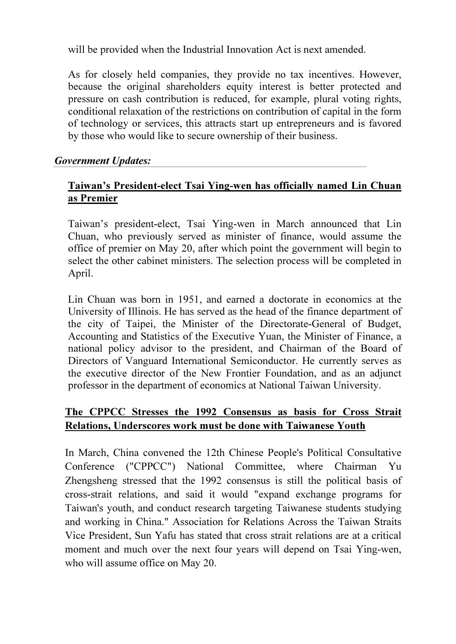will be provided when the Industrial Innovation Act is next amended.

As for closely held companies, they provide no tax incentives. However, because the original shareholders equity interest is better protected and pressure on cash contribution is reduced, for example, plural voting rights, conditional relaxation of the restrictions on contribution of capital in the form of technology or services, this attracts start up entrepreneurs and is favored by those who would like to secure ownership of their business.

#### Government Updates:

#### Taiwan's President-elect Tsai Ying-wen has officially named Lin Chuan as Premier

Taiwan's president-elect, Tsai Ying-wen in March announced that Lin Chuan, who previously served as minister of finance, would assume the office of premier on May 20, after which point the government will begin to select the other cabinet ministers. The selection process will be completed in April.

Lin Chuan was born in 1951, and earned a doctorate in economics at the University of Illinois. He has served as the head of the finance department of the city of Taipei, the Minister of the Directorate-General of Budget, Accounting and Statistics of the Executive Yuan, the Minister of Finance, a national policy advisor to the president, and Chairman of the Board of Directors of Vanguard International Semiconductor. He currently serves as the executive director of the New Frontier Foundation, and as an adjunct professor in the department of economics at National Taiwan University.

# The CPPCC Stresses the 1992 Consensus as basis for Cross Strait Relations, Underscores work must be done with Taiwanese Youth

In March, China convened the 12th Chinese People's Political Consultative Conference ("CPPCC") National Committee, where Chairman Yu Zhengsheng stressed that the 1992 consensus is still the political basis of cross-strait relations, and said it would "expand exchange programs for Taiwan's youth, and conduct research targeting Taiwanese students studying and working in China." Association for Relations Across the Taiwan Straits Vice President, Sun Yafu has stated that cross strait relations are at a critical moment and much over the next four years will depend on Tsai Ying-wen, who will assume office on May 20.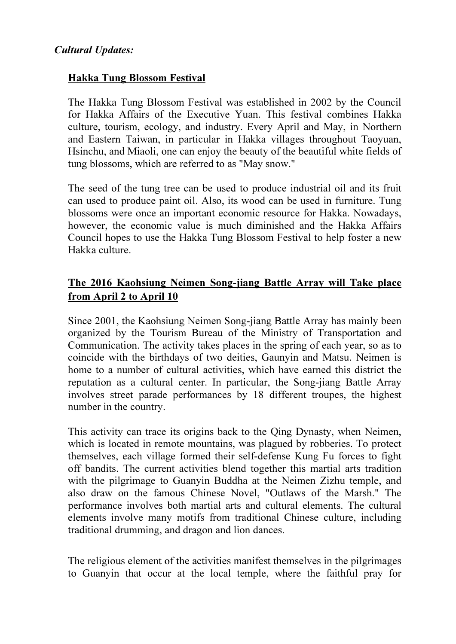#### Hakka Tung Blossom Festival

The Hakka Tung Blossom Festival was established in 2002 by the Council for Hakka Affairs of the Executive Yuan. This festival combines Hakka culture, tourism, ecology, and industry. Every April and May, in Northern and Eastern Taiwan, in particular in Hakka villages throughout Taoyuan, Hsinchu, and Miaoli, one can enjoy the beauty of the beautiful white fields of tung blossoms, which are referred to as "May snow."

The seed of the tung tree can be used to produce industrial oil and its fruit can used to produce paint oil. Also, its wood can be used in furniture. Tung blossoms were once an important economic resource for Hakka. Nowadays, however, the economic value is much diminished and the Hakka Affairs Council hopes to use the Hakka Tung Blossom Festival to help foster a new Hakka culture.

# The 2016 Kaohsiung Neimen Song-jiang Battle Array will Take place from April 2 to April 10

Since 2001, the Kaohsiung Neimen Song-jiang Battle Array has mainly been organized by the Tourism Bureau of the Ministry of Transportation and Communication. The activity takes places in the spring of each year, so as to coincide with the birthdays of two deities, Gaunyin and Matsu. Neimen is home to a number of cultural activities, which have earned this district the reputation as a cultural center. In particular, the Song-jiang Battle Array involves street parade performances by 18 different troupes, the highest number in the country.

This activity can trace its origins back to the Qing Dynasty, when Neimen, which is located in remote mountains, was plagued by robberies. To protect themselves, each village formed their self-defense Kung Fu forces to fight off bandits. The current activities blend together this martial arts tradition with the pilgrimage to Guanyin Buddha at the Neimen Zizhu temple, and also draw on the famous Chinese Novel, "Outlaws of the Marsh." The performance involves both martial arts and cultural elements. The cultural elements involve many motifs from traditional Chinese culture, including traditional drumming, and dragon and lion dances.

The religious element of the activities manifest themselves in the pilgrimages to Guanyin that occur at the local temple, where the faithful pray for